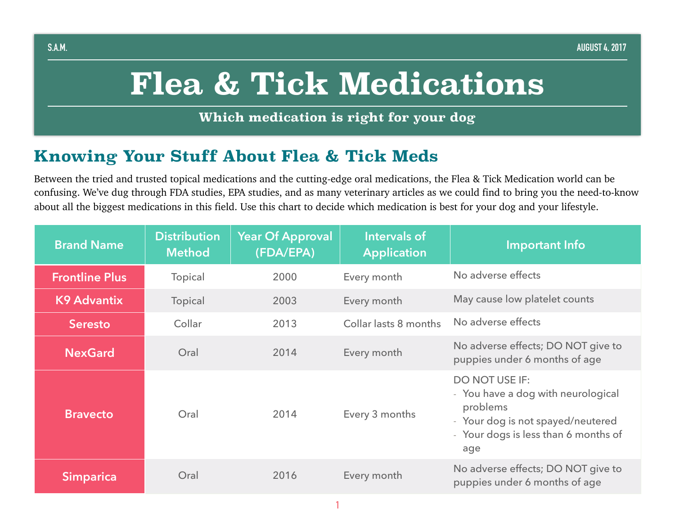# **Flea & Tick Medications**

**Which medication is right for your dog**

### **Knowing Your Stuff About Flea & Tick Meds**

Between the tried and trusted topical medications and the cutting-edge oral medications, the Flea & Tick Medication world can be confusing. We've dug through FDA studies, EPA studies, and as many veterinary articles as we could find to bring you the need-to-know about all the biggest medications in this field. Use this chart to decide which medication is best for your dog and your lifestyle.

| <b>Brand Name</b>     | <b>Distribution</b><br><b>Method</b> | <b>Year Of Approval</b><br>(FDA/EPA) | Intervals of<br><b>Application</b> | <b>Important Info</b>                                                                                                                                       |
|-----------------------|--------------------------------------|--------------------------------------|------------------------------------|-------------------------------------------------------------------------------------------------------------------------------------------------------------|
| <b>Frontline Plus</b> | <b>Topical</b>                       | 2000                                 | Every month                        | No adverse effects                                                                                                                                          |
| <b>K9 Advantix</b>    | Topical                              | 2003                                 | Every month                        | May cause low platelet counts                                                                                                                               |
| <b>Seresto</b>        | Collar                               | 2013                                 | Collar lasts 8 months              | No adverse effects                                                                                                                                          |
| <b>NexGard</b>        | Oral                                 | 2014                                 | Every month                        | No adverse effects; DO NOT give to<br>puppies under 6 months of age                                                                                         |
| <b>Bravecto</b>       | Oral                                 | 2014                                 | Every 3 months                     | <b>DO NOT USE IF:</b><br>- You have a dog with neurological<br>problems<br>- Your dog is not spayed/neutered<br>- Your dogs is less than 6 months of<br>age |
| <b>Simparica</b>      | Oral                                 | 2016                                 | Every month                        | No adverse effects; DO NOT give to<br>puppies under 6 months of age                                                                                         |